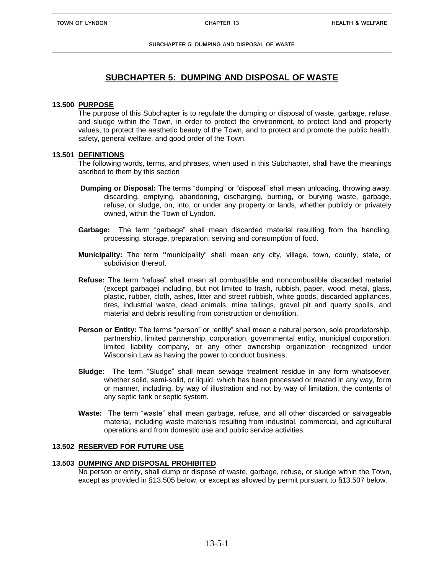# **SUBCHAPTER 5: DUMPING AND DISPOSAL OF WASTE**

#### **13.500 PURPOSE**

The purpose of this Subchapter is to regulate the dumping or disposal of waste, garbage, refuse, and sludge within the Town, in order to protect the environment, to protect land and property values, to protect the aesthetic beauty of the Town, and to protect and promote the public health, safety, general welfare, and good order of the Town.

#### **13.501 DEFINITIONS**

The following words, terms, and phrases, when used in this Subchapter, shall have the meanings ascribed to them by this section

- **Dumping or Disposal:** The terms "dumping" or "disposal" shall mean unloading, throwing away, discarding, emptying, abandoning, discharging, burning, or burying waste, garbage, refuse, or sludge, on, into, or under any property or lands, whether publicly or privately owned, within the Town of Lyndon.
- **Garbage:** The term "garbage" shall mean discarded material resulting from the handling, processing, storage, preparation, serving and consumption of food.
- **Municipality:** The term **"**municipality" shall mean any city, village, town, county, state, or subdivision thereof.
- **Refuse:** The term "refuse" shall mean all combustible and noncombustible discarded material (except garbage) including, but not limited to trash, rubbish, paper, wood, metal, glass, plastic, rubber, cloth, ashes, litter and street rubbish, white goods, discarded appliances, tires, industrial waste, dead animals, mine tailings, gravel pit and quarry spoils, and material and debris resulting from construction or demolition.
- **Person or Entity:** The terms "person" or "entity" shall mean a natural person, sole proprietorship, partnership, limited partnership, corporation, governmental entity, municipal corporation, limited liability company, or any other ownership organization recognized under Wisconsin Law as having the power to conduct business.
- **Sludge:** The term "Sludge" shall mean sewage treatment residue in any form whatsoever, whether solid, semi-solid, or liquid, which has been processed or treated in any way, form or manner, including, by way of illustration and not by way of limitation, the contents of any septic tank or septic system.
- **Waste:** The term "waste" shall mean garbage, refuse, and all other discarded or salvageable material, including waste materials resulting from industrial, commercial, and agricultural operations and from domestic use and public service activities.

## **13.502 RESERVED FOR FUTURE USE**

#### **13.503 DUMPING AND DISPOSAL PROHIBITED**

No person or entity, shall dump or dispose of waste, garbage, refuse, or sludge within the Town, except as provided in §13.505 below, or except as allowed by permit pursuant to §13.507 below.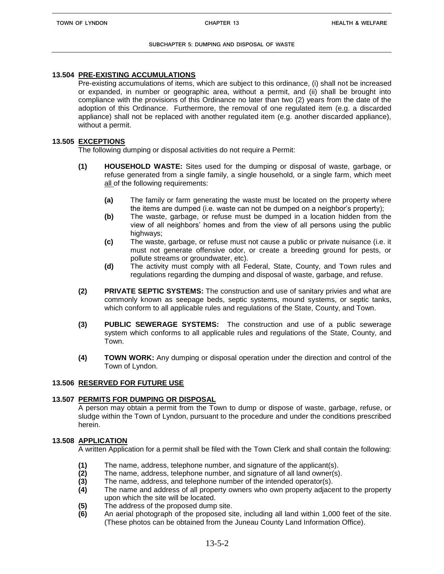#### **13.504 PRE-EXISTING ACCUMULATIONS**

Pre-existing accumulations of items, which are subject to this ordinance, (i) shall not be increased or expanded, in number or geographic area, without a permit, and (ii) shall be brought into compliance with the provisions of this Ordinance no later than two (2) years from the date of the adoption of this Ordinance. Furthermore, the removal of one regulated item (e.g. a discarded appliance) shall not be replaced with another regulated item (e.g. another discarded appliance), without a permit.

#### **13.505 EXCEPTIONS**

The following dumping or disposal activities do not require a Permit:

- **(1) HOUSEHOLD WASTE:** Sites used for the dumping or disposal of waste, garbage, or refuse generated from a single family, a single household, or a single farm, which meet all of the following requirements:
	- **(a)** The family or farm generating the waste must be located on the property where the items are dumped (i.e. waste can not be dumped on a neighbor's property);
	- **(b)** The waste, garbage, or refuse must be dumped in a location hidden from the view of all neighbors' homes and from the view of all persons using the public highways:
	- **(c)** The waste, garbage, or refuse must not cause a public or private nuisance (i.e. it must not generate offensive odor, or create a breeding ground for pests, or pollute streams or groundwater, etc).
	- **(d)** The activity must comply with all Federal, State, County, and Town rules and regulations regarding the dumping and disposal of waste, garbage, and refuse.
- **(2) PRIVATE SEPTIC SYSTEMS:** The construction and use of sanitary privies and what are commonly known as seepage beds, septic systems, mound systems, or septic tanks, which conform to all applicable rules and regulations of the State, County, and Town.
- **(3) PUBLIC SEWERAGE SYSTEMS:** The construction and use of a public sewerage system which conforms to all applicable rules and regulations of the State, County, and Town.
- **(4) TOWN WORK:** Any dumping or disposal operation under the direction and control of the Town of Lyndon.

#### **13.506 RESERVED FOR FUTURE USE**

#### **13.507 PERMITS FOR DUMPING OR DISPOSAL**

A person may obtain a permit from the Town to dump or dispose of waste, garbage, refuse, or sludge within the Town of Lyndon, pursuant to the procedure and under the conditions prescribed herein.

### **13.508 APPLICATION**

A written Application for a permit shall be filed with the Town Clerk and shall contain the following:

- **(1)** The name, address, telephone number, and signature of the applicant(s).
- **(2)** The name, address, telephone number, and signature of all land owner(s).
- **(3)** The name, address, and telephone number of the intended operator(s).
- **(4)** The name and address of all property owners who own property adjacent to the property upon which the site will be located.
- **(5)** The address of the proposed dump site.
- **(6)** An aerial photograph of the proposed site, including all land within 1,000 feet of the site. (These photos can be obtained from the Juneau County Land Information Office).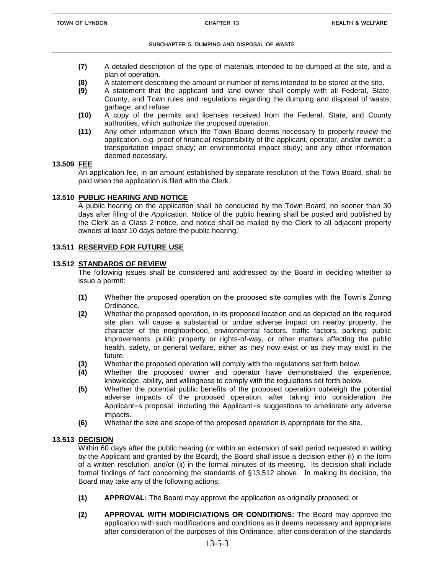- **(7)** A detailed description of the type of materials intended to be dumped at the site, and a plan of operation.
- **(8)** A statement describing the amount or number of items intended to be stored at the site.
- **(9)** A statement that the applicant and land owner shall comply with all Federal, State, County, and Town rules and regulations regarding the dumping and disposal of waste, garbage, and refuse.
- **(10)** A copy of the permits and licenses received from the Federal, State, and County authorities, which authorize the proposed operation.
- **(11)** Any other information which the Town Board deems necessary to properly review the application, e.g. proof of financial responsibility of the applicant, operator, and/or owner; a transportation impact study; an environmental impact study; and any other information deemed necessary.

### **13.509 FEE**

An application fee, in an amount established by separate resolution of the Town Board, shall be paid when the application is filed with the Clerk.

## **13.510 PUBLIC HEARING AND NOTICE**

A public hearing on the application shall be conducted by the Town Board, no sooner than 30 days after filing of the Application. Notice of the public hearing shall be posted and published by the Clerk as a Class 2 notice, and notice shall be mailed by the Clerk to all adjacent property owners at least 10 days before the public hearing.

## **13.511 RESERVED FOR FUTURE USE**

## **13.512 STANDARDS OF REVIEW**

The following issues shall be considered and addressed by the Board in deciding whether to issue a permit:

- **(1)** Whether the proposed operation on the proposed site complies with the Town's Zoning Ordinance.
- **(2)** Whether the proposed operation, in its proposed location and as depicted on the required site plan, will cause a substantial or undue adverse impact on nearby property, the character of the neighborhood, environmental factors, traffic factors, parking, public improvements, public property or rights-of-way, or other matters affecting the public health, safety, or general welfare, either as they now exist or as they may exist in the future.
- **(3)** Whether the proposed operation will comply with the regulations set forth below.
- **(4)** Whether the proposed owner and operator have demonstrated the experience, knowledge, ability, and willingness to comply with the regulations set forth below.
- **(5)** Whether the potential public benefits of the proposed operation outweigh the potential adverse impacts of the proposed operation, after taking into consideration the Applicant=s proposal, including the Applicant=s suggestions to ameliorate any adverse impacts.
- **(6)** Whether the size and scope of the proposed operation is appropriate for the site.

## **13.513 DECISION**

Within 60 days after the public hearing (or within an extension of said period requested in writing by the Applicant and granted by the Board), the Board shall issue a decision either (i) in the form of a written resolution, and/or (ii) in the formal minutes of its meeting. Its decision shall include formal findings of fact concerning the standards of §13.512 above. In making its decision, the Board may take any of the following actions:

- **(1) APPROVAL:** The Board may approve the application as originally proposed; or
- **(2) APPROVAL WITH MODIFICIATIONS OR CONDITIONS:** The Board may approve the application with such modifications and conditions as it deems necessary and appropriate after consideration of the purposes of this Ordinance, after consideration of the standards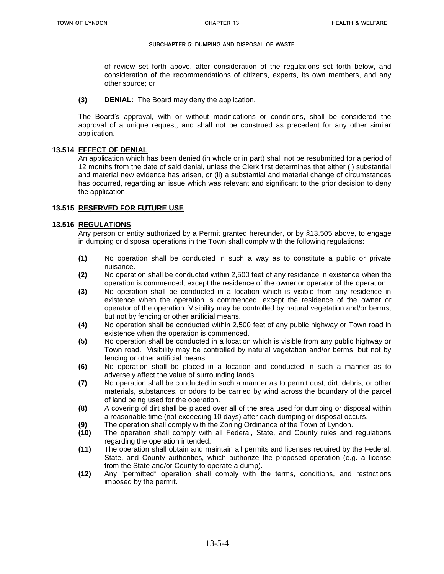of review set forth above, after consideration of the regulations set forth below, and consideration of the recommendations of citizens, experts, its own members, and any other source; or

#### **(3) DENIAL:** The Board may deny the application.

The Board's approval, with or without modifications or conditions, shall be considered the approval of a unique request, and shall not be construed as precedent for any other similar application.

### **13.514 EFFECT OF DENIAL**

An application which has been denied (in whole or in part) shall not be resubmitted for a period of 12 months from the date of said denial, unless the Clerk first determines that either (i) substantial and material new evidence has arisen, or (ii) a substantial and material change of circumstances has occurred, regarding an issue which was relevant and significant to the prior decision to deny the application.

## **13.515 RESERVED FOR FUTURE USE**

## **13.516 REGULATIONS**

Any person or entity authorized by a Permit granted hereunder, or by §13.505 above, to engage in dumping or disposal operations in the Town shall comply with the following regulations:

- **(1)** No operation shall be conducted in such a way as to constitute a public or private nuisance.
- **(2)** No operation shall be conducted within 2,500 feet of any residence in existence when the operation is commenced, except the residence of the owner or operator of the operation.
- **(3)** No operation shall be conducted in a location which is visible from any residence in existence when the operation is commenced, except the residence of the owner or operator of the operation. Visibility may be controlled by natural vegetation and/or berms, but not by fencing or other artificial means.
- **(4)** No operation shall be conducted within 2,500 feet of any public highway or Town road in existence when the operation is commenced.
- **(5)** No operation shall be conducted in a location which is visible from any public highway or Town road. Visibility may be controlled by natural vegetation and/or berms, but not by fencing or other artificial means.
- **(6)** No operation shall be placed in a location and conducted in such a manner as to adversely affect the value of surrounding lands.
- **(7)** No operation shall be conducted in such a manner as to permit dust, dirt, debris, or other materials, substances, or odors to be carried by wind across the boundary of the parcel of land being used for the operation.
- **(8)** A covering of dirt shall be placed over all of the area used for dumping or disposal within a reasonable time (not exceeding 10 days) after each dumping or disposal occurs.
- **(9)** The operation shall comply with the Zoning Ordinance of the Town of Lyndon.
- **(10)** The operation shall comply with all Federal, State, and County rules and regulations regarding the operation intended.
- **(11)** The operation shall obtain and maintain all permits and licenses required by the Federal, State, and County authorities, which authorize the proposed operation (e.g. a license from the State and/or County to operate a dump).
- **(12)** Any "permitted" operation shall comply with the terms, conditions, and restrictions imposed by the permit.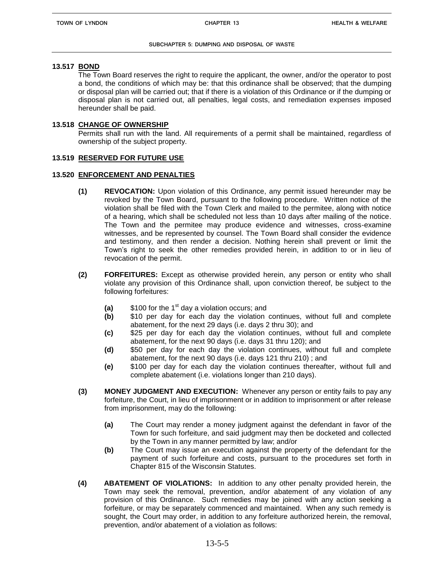### **13.517 BOND**

The Town Board reserves the right to require the applicant, the owner, and/or the operator to post a bond, the conditions of which may be: that this ordinance shall be observed; that the dumping or disposal plan will be carried out; that if there is a violation of this Ordinance or if the dumping or disposal plan is not carried out, all penalties, legal costs, and remediation expenses imposed hereunder shall be paid.

#### **13.518 CHANGE OF OWNERSHIP**

Permits shall run with the land. All requirements of a permit shall be maintained, regardless of ownership of the subject property.

#### **13.519 RESERVED FOR FUTURE USE**

#### **13.520 ENFORCEMENT AND PENALTIES**

- **(1) REVOCATION:** Upon violation of this Ordinance, any permit issued hereunder may be revoked by the Town Board, pursuant to the following procedure. Written notice of the violation shall be filed with the Town Clerk and mailed to the permitee, along with notice of a hearing, which shall be scheduled not less than 10 days after mailing of the notice. The Town and the permitee may produce evidence and witnesses, cross-examine witnesses, and be represented by counsel. The Town Board shall consider the evidence and testimony, and then render a decision. Nothing herein shall prevent or limit the Town's right to seek the other remedies provided herein, in addition to or in lieu of revocation of the permit.
- **(2) FORFEITURES:** Except as otherwise provided herein, any person or entity who shall violate any provision of this Ordinance shall, upon conviction thereof, be subject to the following forfeitures:
	- **(a)** \$100 for the 1<sup>st</sup> day a violation occurs; and
	- **(b)** \$10 per day for each day the violation continues, without full and complete abatement, for the next 29 days (i.e. days 2 thru 30); and
	- **(c)** \$25 per day for each day the violation continues, without full and complete abatement, for the next 90 days (i.e. days 31 thru 120); and
	- **(d)** \$50 per day for each day the violation continues, without full and complete abatement, for the next 90 days (i.e. days 121 thru 210) ; and
	- **(e)** \$100 per day for each day the violation continues thereafter, without full and complete abatement (i.e. violations longer than 210 days).
- **(3) MONEY JUDGMENT AND EXECUTION:** Whenever any person or entity fails to pay any forfeiture, the Court, in lieu of imprisonment or in addition to imprisonment or after release from imprisonment, may do the following:
	- **(a)** The Court may render a money judgment against the defendant in favor of the Town for such forfeiture, and said judgment may then be docketed and collected by the Town in any manner permitted by law; and/or
	- **(b)** The Court may issue an execution against the property of the defendant for the payment of such forfeiture and costs, pursuant to the procedures set forth in Chapter 815 of the Wisconsin Statutes.
- **(4) ABATEMENT OF VIOLATIONS:** In addition to any other penalty provided herein, the Town may seek the removal, prevention, and/or abatement of any violation of any provision of this Ordinance. Such remedies may be joined with any action seeking a forfeiture, or may be separately commenced and maintained. When any such remedy is sought, the Court may order, in addition to any forfeiture authorized herein, the removal, prevention, and/or abatement of a violation as follows: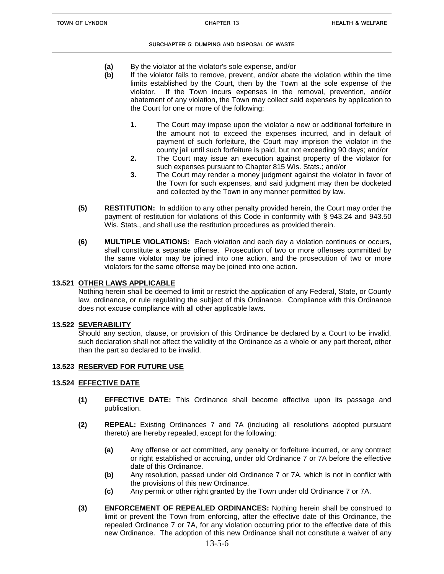- **(a)** By the violator at the violator's sole expense, and/or
- **(b)** If the violator fails to remove, prevent, and/or abate the violation within the time limits established by the Court, then by the Town at the sole expense of the violator. If the Town incurs expenses in the removal, prevention, and/or abatement of any violation, the Town may collect said expenses by application to the Court for one or more of the following:
	- **1.** The Court may impose upon the violator a new or additional forfeiture in the amount not to exceed the expenses incurred, and in default of payment of such forfeiture, the Court may imprison the violator in the county jail until such forfeiture is paid, but not exceeding 90 days; and/or
	- **2.** The Court may issue an execution against property of the violator for such expenses pursuant to Chapter 815 Wis. Stats.; and/or
	- **3.** The Court may render a money judgment against the violator in favor of the Town for such expenses, and said judgment may then be docketed and collected by the Town in any manner permitted by law.
- **(5) RESTITUTION:** In addition to any other penalty provided herein, the Court may order the payment of restitution for violations of this Code in conformity with § 943.24 and 943.50 Wis. Stats., and shall use the restitution procedures as provided therein.
- **(6) MULTIPLE VIOLATIONS:** Each violation and each day a violation continues or occurs, shall constitute a separate offense. Prosecution of two or more offenses committed by the same violator may be joined into one action, and the prosecution of two or more violators for the same offense may be joined into one action.

## **13.521 OTHER LAWS APPLICABLE**

Nothing herein shall be deemed to limit or restrict the application of any Federal, State, or County law, ordinance, or rule regulating the subject of this Ordinance. Compliance with this Ordinance does not excuse compliance with all other applicable laws.

## **13.522 SEVERABILITY**

Should any section, clause, or provision of this Ordinance be declared by a Court to be invalid, such declaration shall not affect the validity of the Ordinance as a whole or any part thereof, other than the part so declared to be invalid.

## **13.523 RESERVED FOR FUTURE USE**

## **13.524 EFFECTIVE DATE**

- **(1) EFFECTIVE DATE:** This Ordinance shall become effective upon its passage and publication.
- **(2) REPEAL:** Existing Ordinances 7 and 7A (including all resolutions adopted pursuant thereto) are hereby repealed, except for the following:
	- **(a)** Any offense or act committed, any penalty or forfeiture incurred, or any contract or right established or accruing, under old Ordinance 7 or 7A before the effective date of this Ordinance.
	- **(b)** Any resolution, passed under old Ordinance 7 or 7A, which is not in conflict with the provisions of this new Ordinance.
	- **(c)** Any permit or other right granted by the Town under old Ordinance 7 or 7A.
- **(3) ENFORCEMENT OF REPEALED ORDINANCES:** Nothing herein shall be construed to limit or prevent the Town from enforcing, after the effective date of this Ordinance, the repealed Ordinance 7 or 7A, for any violation occurring prior to the effective date of this new Ordinance. The adoption of this new Ordinance shall not constitute a waiver of any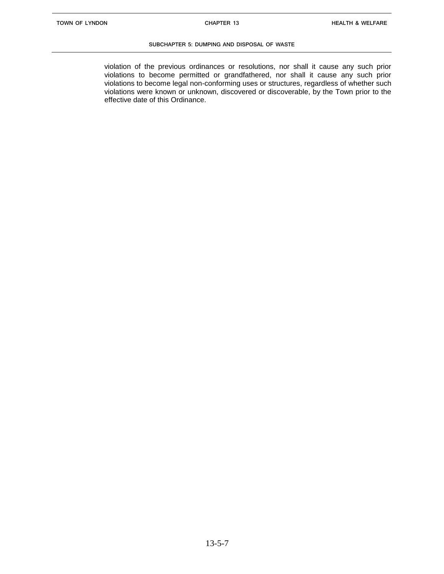violation of the previous ordinances or resolutions, nor shall it cause any such prior violations to become permitted or grandfathered, nor shall it cause any such prior violations to become legal non-conforming uses or structures, regardless of whether such violations were known or unknown, discovered or discoverable, by the Town prior to the effective date of this Ordinance.